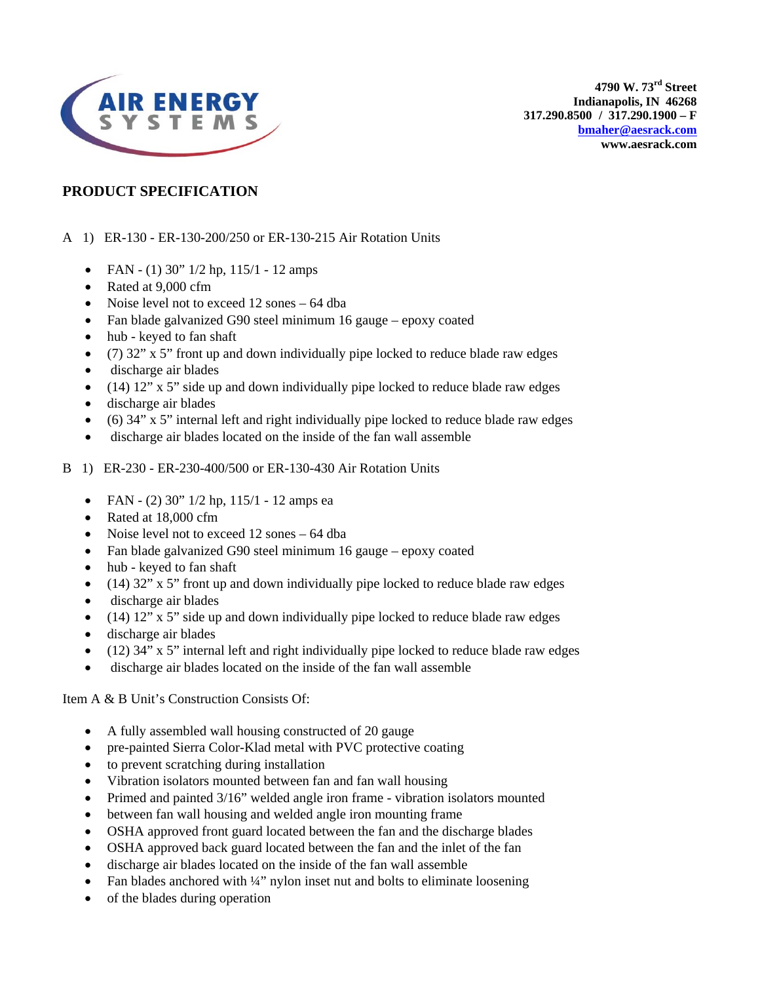

**4790 W. 73rd Street Indianapolis, IN 46268 317.290.8500 / 317.290.1900 – F [bmaher@aesrack.com](mailto:bmaher@aesrack.com) www.aesrack.com** 

### **PRODUCT SPECIFICATION**

#### A 1) ER-130 - ER-130-200/250 or ER-130-215 Air Rotation Units

- FAN (1) 30"  $1/2$  hp,  $115/1$  12 amps
- Rated at 9,000 cfm
- Noise level not to exceed 12 sones 64 dba
- Fan blade galvanized G90 steel minimum 16 gauge epoxy coated
- hub keyed to fan shaft
- (7) 32" x 5" front up and down individually pipe locked to reduce blade raw edges
- discharge air blades
- $\bullet$  (14) 12" x 5" side up and down individually pipe locked to reduce blade raw edges
- discharge air blades
- (6) 34" x 5" internal left and right individually pipe locked to reduce blade raw edges
- discharge air blades located on the inside of the fan wall assemble
- B 1) ER-230 ER-230-400/500 or ER-130-430 Air Rotation Units
	- FAN (2) 30" 1/2 hp, 115/1 12 amps ea
	- Rated at 18,000 cfm
	- Noise level not to exceed 12 sones 64 dba
	- Fan blade galvanized G90 steel minimum 16 gauge epoxy coated
	- hub keyed to fan shaft
	- $\bullet$  (14) 32" x 5" front up and down individually pipe locked to reduce blade raw edges
	- discharge air blades
	- $\bullet$  (14) 12" x 5" side up and down individually pipe locked to reduce blade raw edges
	- discharge air blades
	- $\bullet$  (12) 34" x 5" internal left and right individually pipe locked to reduce blade raw edges
	- discharge air blades located on the inside of the fan wall assemble

Item A & B Unit's Construction Consists Of:

- A fully assembled wall housing constructed of 20 gauge
- pre-painted Sierra Color-Klad metal with PVC protective coating
- to prevent scratching during installation
- Vibration isolators mounted between fan and fan wall housing
- Primed and painted 3/16" welded angle iron frame vibration isolators mounted
- between fan wall housing and welded angle iron mounting frame
- OSHA approved front guard located between the fan and the discharge blades
- OSHA approved back guard located between the fan and the inlet of the fan
- discharge air blades located on the inside of the fan wall assemble
- Fan blades anchored with ¼" nylon inset nut and bolts to eliminate loosening
- of the blades during operation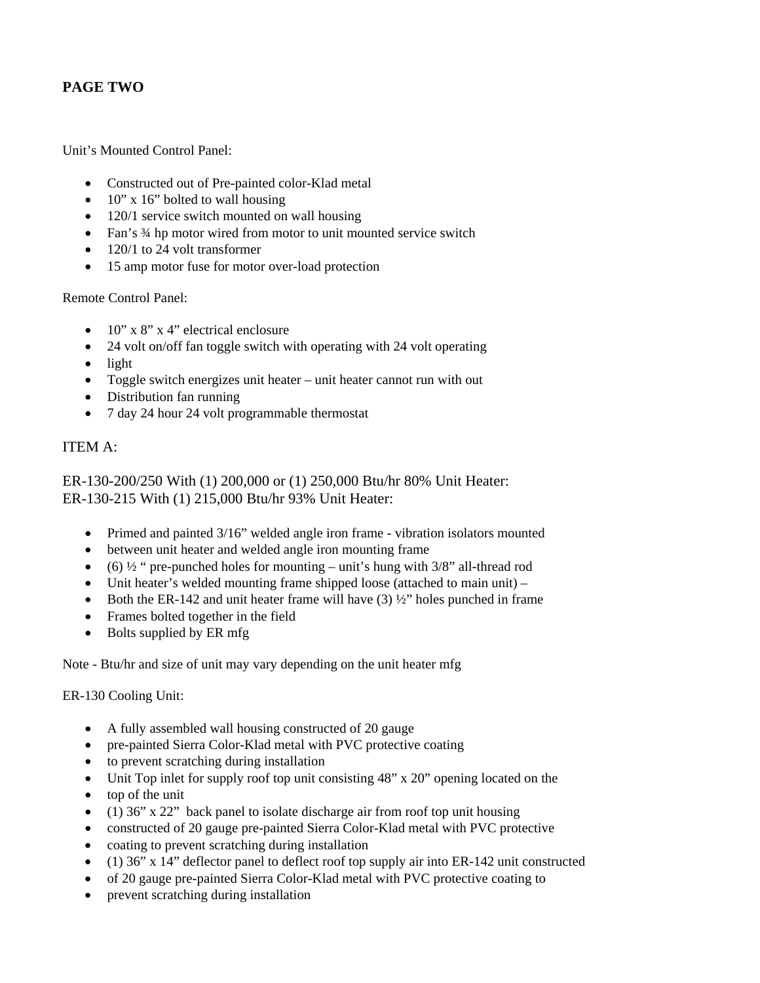## **PAGE TWO**

Unit's Mounted Control Panel:

- Constructed out of Pre-painted color-Klad metal
- $10''$  x 16" bolted to wall housing
- 120/1 service switch mounted on wall housing
- Fan's 3/4 hp motor wired from motor to unit mounted service switch
- 120/1 to 24 volt transformer
- 15 amp motor fuse for motor over-load protection

Remote Control Panel:

- $10'' \times 8'' \times 4''$  electrical enclosure
- 24 volt on/off fan toggle switch with operating with 24 volt operating
- light
- Toggle switch energizes unit heater unit heater cannot run with out
- Distribution fan running
- 7 day 24 hour 24 volt programmable thermostat

### ITEM A:

ER-130-200/250 With (1) 200,000 or (1) 250,000 Btu/hr 80% Unit Heater: ER-130-215 With (1) 215,000 Btu/hr 93% Unit Heater:

- Primed and painted 3/16" welded angle iron frame vibration isolators mounted
- between unit heater and welded angle iron mounting frame
- (6)  $\frac{1}{2}$  " pre-punched holes for mounting unit's hung with  $\frac{3}{8}$ " all-thread rod
- Unit heater's welded mounting frame shipped loose (attached to main unit) –
- Both the ER-142 and unit heater frame will have  $(3)$   $\frac{1}{2}$  holes punched in frame
- Frames bolted together in the field
- Bolts supplied by ER mfg

Note - Btu/hr and size of unit may vary depending on the unit heater mfg

ER-130 Cooling Unit:

- A fully assembled wall housing constructed of 20 gauge
- pre-painted Sierra Color-Klad metal with PVC protective coating
- to prevent scratching during installation
- Unit Top inlet for supply roof top unit consisting 48" x 20" opening located on the
- top of the unit
- (1) 36" x 22" back panel to isolate discharge air from roof top unit housing
- constructed of 20 gauge pre-painted Sierra Color-Klad metal with PVC protective
- coating to prevent scratching during installation
- (1) 36" x 14" deflector panel to deflect roof top supply air into ER-142 unit constructed
- of 20 gauge pre-painted Sierra Color-Klad metal with PVC protective coating to
- prevent scratching during installation